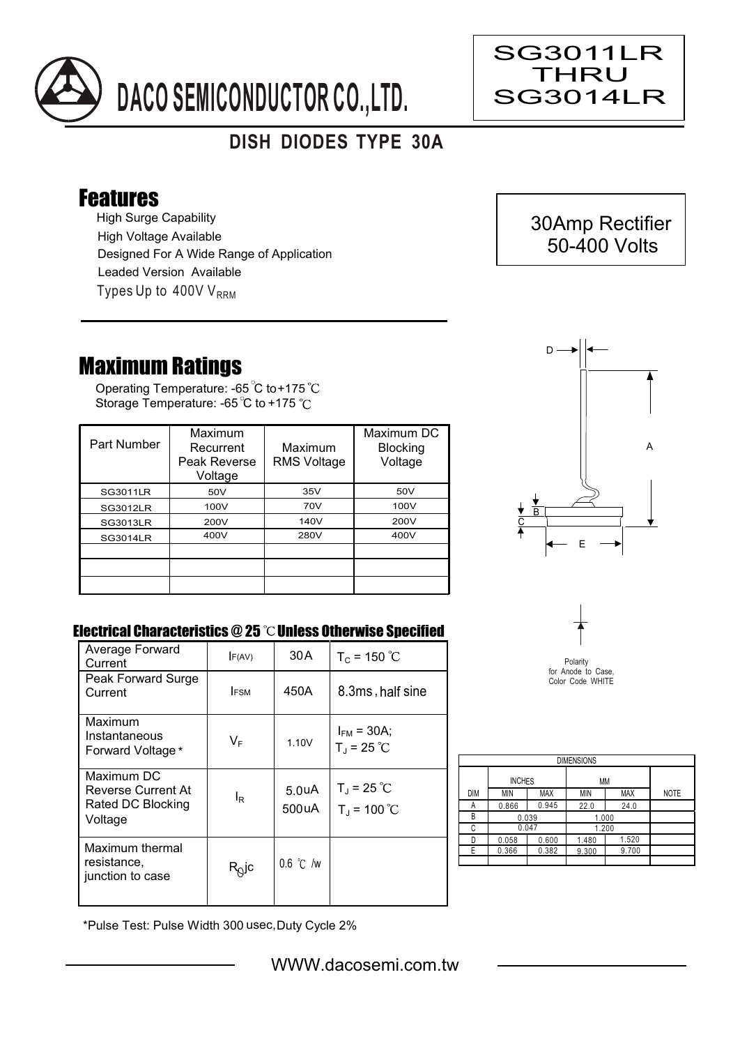

## **DISH DIODES TYPE 30A**

## Features

High Surge Capability Types Up to  $400VV<sub>RRM</sub>$ High Voltage Available Designed For A Wide Range of Application Leaded Version Available

## Maximum Ratings

Operating Temperature: -65 C to+175 Storage Temperature: -65 °C to +175 °C

| Part Number     | Maximum<br>Recurrent<br>Peak Reverse<br>Voltage | Maximum<br><b>RMS Voltage</b> | Maximum DC<br><b>Blocking</b><br>Voltage |
|-----------------|-------------------------------------------------|-------------------------------|------------------------------------------|
| <b>SG3011LR</b> | 50V                                             | 35V                           | 50V                                      |
| <b>SG3012LR</b> | 100V                                            | 70V                           | 100V                                     |
| <b>SG3013LR</b> | 200V                                            | 140V                          | 200V                                     |
| <b>SG3014LR</b> | 400V                                            | 280V                          | 400V                                     |
|                 |                                                 |                               |                                          |
|                 |                                                 |                               |                                          |
|                 |                                                 |                               |                                          |



SG3011LR THRU SG3014LR

> 30Amp Rectifier 50-400 Volts

Ξ

## Electrical Characteristics @ 25 °C Unless Otherwise Specified

| Average Forward<br>Current                                       | F(AV)                      | 30 A                        | $T_c = 150 °C$                              |
|------------------------------------------------------------------|----------------------------|-----------------------------|---------------------------------------------|
| Peak Forward Surge<br>Current                                    | <b>IFSM</b>                | 450A                        | 8.3ms, half sine                            |
| Maximum<br>Instantaneous<br>Forward Voltage*                     | $V_F$                      | 1.10V                       | $I_{FM}$ = 30A;<br>$T_{J}$ = 25 °C          |
| Maximum DC<br>Reverse Current At<br>Rated DC Blocking<br>Voltage | l <sub>R</sub>             | 5.0 <sub>u</sub> A<br>500uA | $T_{\rm J}$ = 25 °C<br>$T_{\rm J}$ = 100 °C |
| Maximum thermal<br>resistance,<br>junction to case               | $R_{\tiny{\textrm{Q}}}$ jc | $0.6$ °C /w                 |                                             |



| <b>DIMENSIONS</b> |               |            |       |            |             |  |  |  |  |
|-------------------|---------------|------------|-------|------------|-------------|--|--|--|--|
|                   | <b>INCHES</b> |            | МM    |            |             |  |  |  |  |
| <b>DIM</b>        | <b>MIN</b>    | <b>MAX</b> | MIN   | <b>MAX</b> | <b>NOTE</b> |  |  |  |  |
| А                 | 0.866         | 0.945      | 22.0  | 24.0       |             |  |  |  |  |
| В                 | 0.039         |            | 1.000 |            |             |  |  |  |  |
| C                 | 0.047         |            | 1.200 |            |             |  |  |  |  |
| n                 | 0.058         | 0.600      | 1.480 | 1.520      |             |  |  |  |  |
| F                 | 0.366         | 0.382      | 9.300 | 9.700      |             |  |  |  |  |
|                   |               |            |       |            |             |  |  |  |  |

\*Pulse Test: Pulse Width 300 usec,Duty Cycle 2%